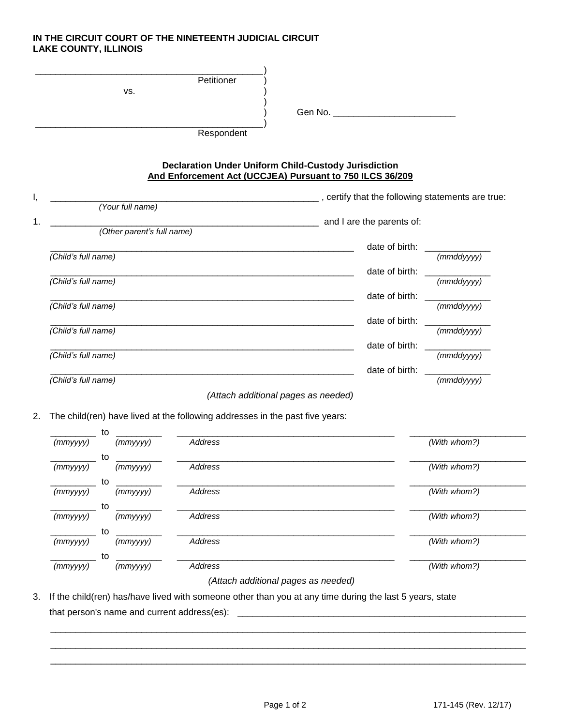## **IN THE CIRCUIT COURT OF THE NINETEENTH JUDICIAL CIRCUIT LAKE COUNTY, ILLINOIS**

|    | VS.                        | Petitioner                                                                                                              |  |                                                    |                  |
|----|----------------------------|-------------------------------------------------------------------------------------------------------------------------|--|----------------------------------------------------|------------------|
|    |                            | Respondent                                                                                                              |  | Gen No.                                            |                  |
|    |                            | <b>Declaration Under Uniform Child-Custody Jurisdiction</b><br>And Enforcement Act (UCCJEA) Pursuant to 750 ILCS 36/209 |  | _, certify that the following statements are true: |                  |
|    | (Your full name)           |                                                                                                                         |  |                                                    |                  |
| 1. | (Other parent's full name) |                                                                                                                         |  | and I are the parents of:                          |                  |
|    |                            |                                                                                                                         |  | date of birth:                                     |                  |
|    | (Child's full name)        |                                                                                                                         |  |                                                    | $(mm$ ddyyyy $)$ |
|    |                            |                                                                                                                         |  | date of birth:                                     |                  |
|    | (Child's full name)        |                                                                                                                         |  |                                                    | $(mm$ ddyyyy $)$ |

*(Child's full name) (mmddyyyy)*

*(Child's full name) (mmddyyyy)*

*(Attach additional pages as needed)*

2. The child(ren) have lived at the following addresses in the past five years:

*(Child's full name)* 

*(Child's full name)* 

|                | to          |                                                 |              |
|----------------|-------------|-------------------------------------------------|--------------|
| (mmyyyy)       | (mmyyyy)    | <b>Address</b>                                  | (With whom?) |
|                | to          |                                                 |              |
| (mmyyyy)       | (mmyyyy)    | Address                                         | (With whom?) |
|                | to          |                                                 |              |
| (mmyyyy)       | (mmyyyy)    | Address                                         | (With whom?) |
|                | to          |                                                 |              |
| (mmyyyy)       | (mmyyyy)    | <b>Address</b>                                  | (With whom?) |
|                | to          |                                                 |              |
| $(mm$ yyyy $)$ | $(mm$ yyyy) | <b>Address</b>                                  | (With whom?) |
|                | to          |                                                 |              |
| (mmyyyy)       | (mmyyyy)    | Address                                         | (With whom?) |
|                |             | $\{A(t) \}$ is a stable in a function of $A(t)$ |              |

*(Attach additional pages as needed)*

\_\_\_\_\_\_\_\_\_\_\_\_\_\_\_\_\_\_\_\_\_\_\_\_\_\_\_\_\_\_\_\_\_\_\_\_\_\_\_\_\_\_\_\_\_\_\_\_\_\_\_\_\_\_\_\_\_\_\_\_\_\_\_\_\_\_\_\_\_\_\_\_\_\_\_\_\_\_\_\_\_\_\_\_\_\_\_\_\_\_\_\_\_\_ \_\_\_\_\_\_\_\_\_\_\_\_\_\_\_\_\_\_\_\_\_\_\_\_\_\_\_\_\_\_\_\_\_\_\_\_\_\_\_\_\_\_\_\_\_\_\_\_\_\_\_\_\_\_\_\_\_\_\_\_\_\_\_\_\_\_\_\_\_\_\_\_\_\_\_\_\_\_\_\_\_\_\_\_\_\_\_\_\_\_\_\_\_\_ \_\_\_\_\_\_\_\_\_\_\_\_\_\_\_\_\_\_\_\_\_\_\_\_\_\_\_\_\_\_\_\_\_\_\_\_\_\_\_\_\_\_\_\_\_\_\_\_\_\_\_\_\_\_\_\_\_\_\_\_\_\_\_\_\_\_\_\_\_\_\_\_\_\_\_\_\_\_\_\_\_\_\_\_\_\_\_\_\_\_\_\_\_\_

3. If the child(ren) has/have lived with someone other than you at any time during the last 5 years, state that person's name and current address(es):

date of birth:  $\frac{1}{(mmddyyyy)}$ 

date of birth:  $\frac{1}{(mmddyyyy)}$ 

date of birth:  $\Box$ 

date of birth: